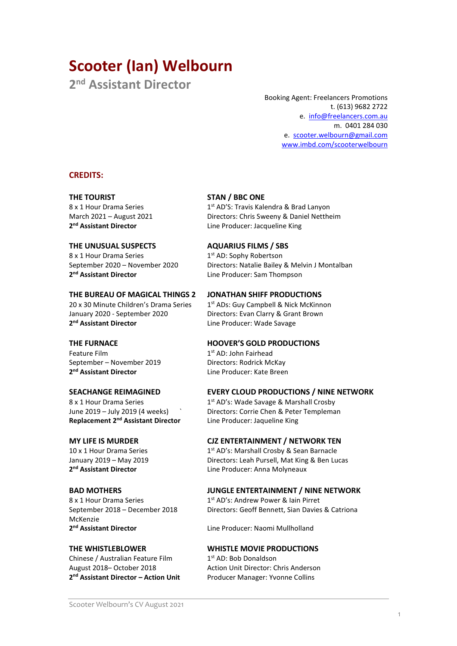# Scooter (Ian) Welbourn

2<sup>nd</sup> Assistant Director

Booking Agent: Freelancers Promotions t. (613) 9682 2722 e. info@freelancers.com.au m. 0401 284 030 e. scooter.welbourn@gmail.com www.imbd.com/scooterwelbourn

### CREDITS:

2<sup>nd</sup> Assistant Director

THE UNUSUAL SUSPECTS AQUARIUS FILMS / SBS 8 x 1 Hour Drama Series 1st AD: Sophy Robertson 2<sup>nd</sup> Assistant Director

### THE BUREAU OF MAGICAL THINGS 2 JONATHAN SHIFF PRODUCTIONS

20 x 30 Minute Children's Drama Series  $1<sup>st</sup>$  ADs: Guy Campbell & Nick McKinnon January 2020 - September 2020 Directors: Evan Clarry & Grant Brown 2<sup>nd</sup> Assistant Director

Feature Film 1st AD: John Fairhead September – November 2019 Directors: Rodrick McKay 2<sup>nd</sup> Assistant Director

Replacement 2<sup>nd</sup> Assistant Director Line Producer: Jaqueline King

2<sup>nd</sup> Assistant Director

McKenzie 2<sup>nd</sup> Assistant Director

Chinese / Australian Feature Film 1st AD: Bob Donaldson 2<sup>nd</sup> Assistant Director - Action Unit

### THE TOURIST STAN / BBC ONE 8 x 1 Hour Drama Series 1st AD'S: Travis Kalendra & Brad Lanyon

March 2021 – August 2021 Directors: Chris Sweeny & Daniel Nettheim Line Producer: Jacqueline King

September 2020 – November 2020 Directors: Natalie Bailey & Melvin J Montalban Line Producer: Sam Thompson

Line Producer: Wade Savage

### THE FURNACE **HOOVER'S GOLD PRODUCTIONS**

Line Producer: Kate Breen

### SEACHANGE REIMAGINED EVERY CLOUD PRODUCTIONS / NINE NETWORK

8 x 1 Hour Drama Series 1st AD's: Wade Savage & Marshall Crosby June 2019 – July 2019 (4 weeks) ` Directors: Corrie Chen & Peter Templeman

### MY LIFE IS MURDER CJZ ENTERTAINMENT / NETWORK TEN

10 x 1 Hour Drama Series 1st AD's: Marshall Crosby & Sean Barnacle January 2019 – May 2019 Directors: Leah Pursell, Mat King & Ben Lucas Line Producer: Anna Molyneaux

### BAD MOTHERS JUNGLE ENTERTAINMENT / NINE NETWORK

8 x 1 Hour Drama Series 1st AD's: Andrew Power & Iain Pirret September 2018 – December 2018 Directors: Geoff Bennett, Sian Davies & Catriona

Line Producer: Naomi Mullholland

### THE WHISTLEBLOWER WHISTLE MOVIE PRODUCTIONS

August 2018– October 2018 Action Unit Director: Chris Anderson Producer Manager: Yvonne Collins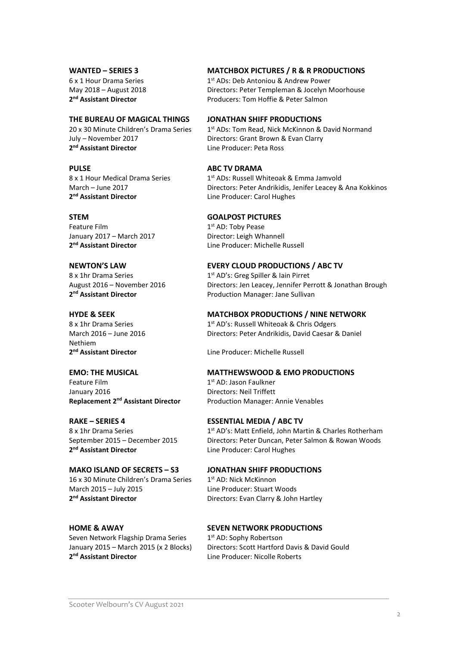2<sup>nd</sup> Assistant Director

# July – November 2017 Directors: Grant Brown & Evan Clarry 2<sup>nd</sup> Assistant Director

PULSE ABC TV DRAMA 2<sup>nd</sup> Assistant Director

Feature Film 1st AD: Toby Pease January 2017 – March 2017 **Director: Leigh Whannell** 2<sup>nd</sup> Assistant Director

# 2<sup>nd</sup> Assistant Director

Nethiem 2<sup>nd</sup> Assistant Director

Feature Film 1st AD: Jason Faulkner January 2016 Directors: Neil Triffett

2<sup>nd</sup> Assistant Director

### MAKO ISLAND OF SECRETS – S3 JONATHAN SHIFF PRODUCTIONS 16 x 30 Minute Children's Drama Series 1st AD: Nick McKinnon March 2015 – July 2015 **Line Producer: Stuart Woods** 2<sup>nd</sup> Assistant Director

Seven Network Flagship Drama Series 1st AD: Sophy Robertson 2<sup>nd</sup> Assistant Director

### WANTED – SERIES 3 MATCHBOX PICTURES / R & R PRODUCTIONS

6 x 1 Hour Drama Series 1st ADs: Deb Antoniou & Andrew Power May 2018 – August 2018 Directors: Peter Templeman & Jocelyn Moorhouse Producers: Tom Hoffie & Peter Salmon

### THE BUREAU OF MAGICAL THINGS JONATHAN SHIFF PRODUCTIONS

20 x 30 Minute Children's Drama Series  $1<sup>st</sup>$  ADs: Tom Read, Nick McKinnon & David Normand Line Producer: Peta Ross

8 x 1 Hour Medical Drama Series 1st ADs: Russell Whiteoak & Emma Jamvold March – June 2017 Directors: Peter Andrikidis, Jenifer Leacey & Ana Kokkinos Line Producer: Carol Hughes

### STEM GOALPOST PICTURES

Line Producer: Michelle Russell

### NEWTON'S LAW EVERY CLOUD PRODUCTIONS / ABC TV

 $8 \times 1$ hr Drama Series 1st AD's: Greg Spiller & Iain Pirret August 2016 – November 2016 Directors: Jen Leacey, Jennifer Perrott & Jonathan Brough Production Manager: Jane Sullivan

### HYDE & SEEK MATCHBOX PRODUCTIONS / NINE NETWORK

8 x 1hr Drama Series 1st AD's: Russell Whiteoak & Chris Odgers March 2016 – June 2016 Directors: Peter Andrikidis, David Caesar & Daniel

Line Producer: Michelle Russell

### EMO: THE MUSICAL MATTHEWSWOOD & EMO PRODUCTIONS

Replacement 2<sup>nd</sup> Assistant Director Production Manager: Annie Venables

### RAKE – SERIES 4 ESSENTIAL MEDIA / ABC TV

8 x 1hr Drama Series 1st AD's: Matt Enfield, John Martin & Charles Rotherham September 2015 – December 2015 Directors: Peter Duncan, Peter Salmon & Rowan Woods Line Producer: Carol Hughes

Directors: Evan Clarry & John Hartley

### HOME & AWAY SEVEN NETWORK PRODUCTIONS

January 2015 – March 2015 (x 2 Blocks) Directors: Scott Hartford Davis & David Gould Line Producer: Nicolle Roberts